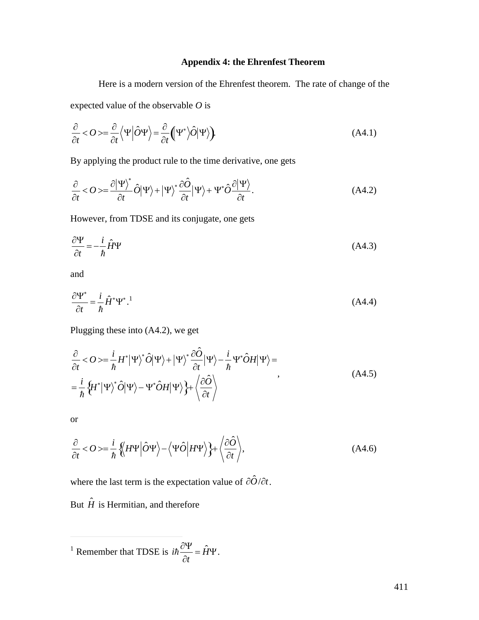## **Appendix 4: the Ehrenfest Theorem**

Here is a modern version of the Ehrenfest theorem. The rate of change of the expected value of the observable *O* is

$$
\frac{\partial}{\partial t} < O > = \frac{\partial}{\partial t} \langle \Psi | \hat{O} \Psi \rangle = \frac{\partial}{\partial t} \left( \Psi^* \rangle \hat{O} | \Psi \rangle \right).
$$
 (A4.1)

By applying the product rule to the time derivative, one gets

$$
\frac{\partial}{\partial t} < O > = \frac{\partial |\Psi\rangle^*}{\partial t} \hat{O} |\Psi\rangle + |\Psi\rangle^* \frac{\partial \hat{O}}{\partial t} |\Psi\rangle + \Psi^* \hat{O} \frac{\partial |\Psi\rangle}{\partial t}.
$$
\n(A4.2)

However, from TDSE and its conjugate, one gets

$$
\frac{\partial \Psi}{\partial t} = -\frac{i}{\hbar} \hat{H} \Psi \tag{A4.3}
$$

and

$$
\frac{\partial \Psi^*}{\partial t} = \frac{i}{\hbar} \hat{H}^* \Psi^*.
$$
 (A4.4)

Plugging these into (A4.2), we get

$$
\frac{\partial}{\partial t} < O > = \frac{i}{\hbar} H^* |\Psi \rangle^* \hat{O} |\Psi \rangle + |\Psi \rangle^* \frac{\partial \hat{O}}{\partial t} |\Psi \rangle - \frac{i}{\hbar} \Psi^* \hat{O} H |\Psi \rangle = \n= \frac{i}{\hbar} \left\{ H^* |\Psi \rangle^* \hat{O} |\Psi \rangle - \Psi^* \hat{O} H |\Psi \rangle \right\} + \left\langle \frac{\partial \hat{O}}{\partial t} \right\rangle
$$
\n(A4.5)

or

 $\overline{a}$ 

$$
\frac{\partial}{\partial t} < O > = \frac{i}{\hbar} \left\{ \left\langle H \Psi \right| \hat{O} \Psi \right\rangle - \left\langle \Psi \hat{O} \right| H \Psi \right\rangle \} + \left\langle \frac{\partial \hat{O}}{\partial t} \right\rangle, \tag{A4.6}
$$

where the last term is the expectation value of  $\partial \hat{O}/\partial t$ .

But  $\hat{H}$  is Hermitian, and therefore

<sup>1</sup> Remember that TDSE is  $i\hbar \frac{\partial \Psi}{\partial t} = \hat{H}\Psi$ .